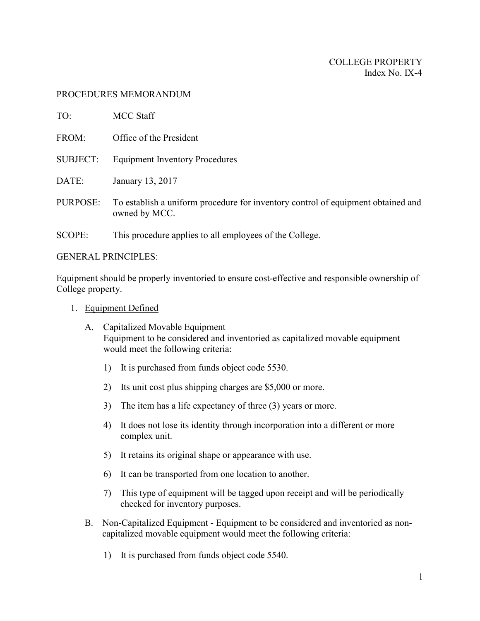#### PROCEDURES MEMORANDUM

| TO:             | <b>MCC Staff</b>                                                                                  |
|-----------------|---------------------------------------------------------------------------------------------------|
| FROM:           | Office of the President                                                                           |
| <b>SUBJECT:</b> | <b>Equipment Inventory Procedures</b>                                                             |
| DATE:           | January 13, 2017                                                                                  |
| PURPOSE:        | To establish a uniform procedure for inventory control of equipment obtained and<br>owned by MCC. |
| SCOPE:          | This procedure applies to all employees of the College.                                           |

GENERAL PRINCIPLES:

Equipment should be properly inventoried to ensure cost-effective and responsible ownership of College property.

- 1. Equipment Defined
	- A. Capitalized Movable Equipment Equipment to be considered and inventoried as capitalized movable equipment would meet the following criteria:
		- 1) It is purchased from funds object code 5530.
		- 2) Its unit cost plus shipping charges are \$5,000 or more.
		- 3) The item has a life expectancy of three (3) years or more.
		- 4) It does not lose its identity through incorporation into a different or more complex unit.
		- 5) It retains its original shape or appearance with use.
		- 6) It can be transported from one location to another.
		- 7) This type of equipment will be tagged upon receipt and will be periodically checked for inventory purposes.
	- B. Non-Capitalized Equipment Equipment to be considered and inventoried as noncapitalized movable equipment would meet the following criteria:
		- 1) It is purchased from funds object code 5540.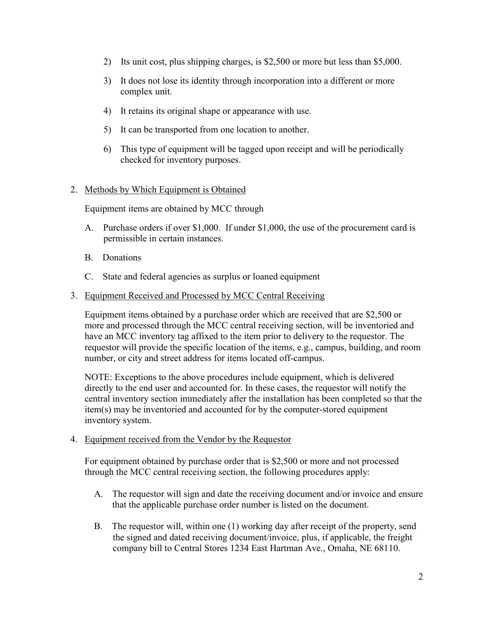- 2) Its unit cost, plus shipping charges, is \$2,500 or more but less than \$5,000.
- 3) It does not lose its identity through incorporation into a different or more complex unit.
- 4) It retains its original shape or appearance with use.
- 5) It can be transported from one location to another.
- 6) This type of equipment will be tagged upon receipt and will be periodically checked for inventory purposes.

### 2. Methods by Which Equipment is Obtained

Equipment items are obtained by MCC through

- A. Purchase orders if over \$1,000. If under \$1,000, the use of the procurement card is permissible in certain instances.
- B. Donations
- C. State and federal agencies as surplus or loaned equipment
- 3. Equipment Received and Processed by MCC Central Receiving

Equipment items obtained by a purchase order which are received that are \$2,500 or more and processed through the MCC central receiving section, will be inventoried and have an MCC inventory tag affixed to the item prior to delivery to the requestor. The requestor will provide the specific location of the items, e.g., campus, building, and room number, or city and street address for items located off-campus.

NOTE: Exceptions to the above procedures include equipment, which is delivered directly to the end user and accounted for. In these cases, the requestor will notify the central inventory section immediately after the installation has been completed so that the item(s) may be inventoried and accounted for by the computer-stored equipment inventory system.

#### 4. Equipment received from the Vendor by the Requestor

For equipment obtained by purchase order that is \$2,500 or more and not processed through the MCC central receiving section, the following procedures apply:

- A. The requestor will sign and date the receiving document and/or invoice and ensure that the applicable purchase order number is listed on the document.
- B. The requestor will, within one (1) working day after receipt of the property, send the signed and dated receiving document/invoice, plus, if applicable, the freight company bill to Central Stores 1234 East Hartman Ave., Omaha, NE 68110.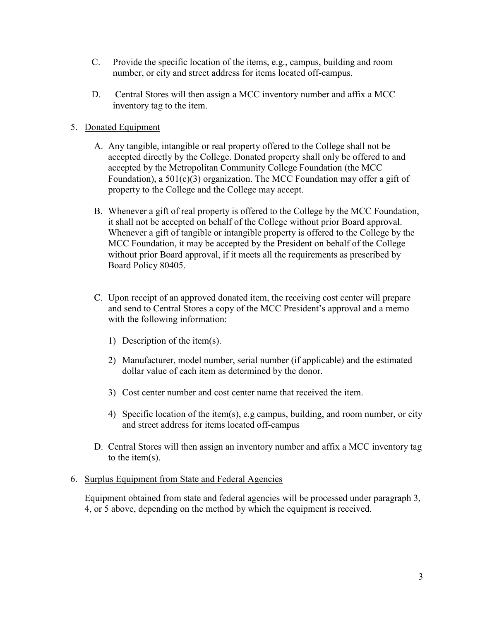- C. Provide the specific location of the items, e.g., campus, building and room number, or city and street address for items located off-campus.
- D. Central Stores will then assign a MCC inventory number and affix a MCC inventory tag to the item.

# 5. Donated Equipment

- A. Any tangible, intangible or real property offered to the College shall not be accepted directly by the College. Donated property shall only be offered to and accepted by the Metropolitan Community College Foundation (the MCC Foundation), a 501(c)(3) organization. The MCC Foundation may offer a gift of property to the College and the College may accept.
- B. Whenever a gift of real property is offered to the College by the MCC Foundation, it shall not be accepted on behalf of the College without prior Board approval. Whenever a gift of tangible or intangible property is offered to the College by the MCC Foundation, it may be accepted by the President on behalf of the College without prior Board approval, if it meets all the requirements as prescribed by Board Policy 80405.
- C. Upon receipt of an approved donated item, the receiving cost center will prepare and send to Central Stores a copy of the MCC President's approval and a memo with the following information:
	- 1) Description of the item(s).
	- 2) Manufacturer, model number, serial number (if applicable) and the estimated dollar value of each item as determined by the donor.
	- 3) Cost center number and cost center name that received the item.
	- 4) Specific location of the item(s), e.g campus, building, and room number, or city and street address for items located off-campus
- D. Central Stores will then assign an inventory number and affix a MCC inventory tag to the item(s).

#### 6. Surplus Equipment from State and Federal Agencies

Equipment obtained from state and federal agencies will be processed under paragraph 3, 4, or 5 above, depending on the method by which the equipment is received.